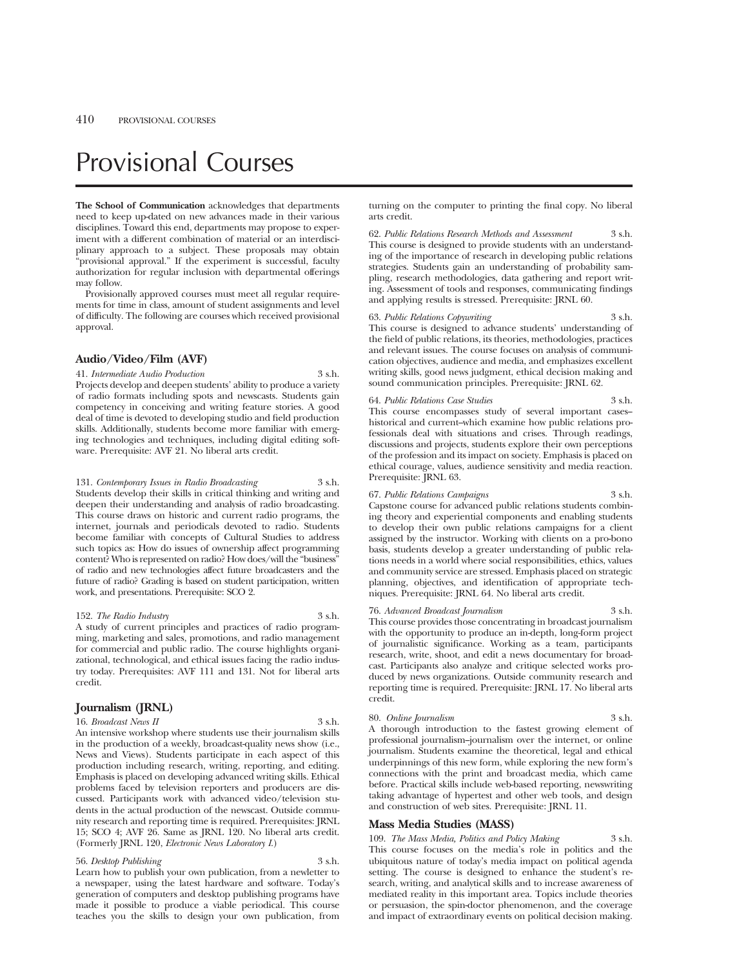# Provisional Courses

**The School of Communication** acknowledges that departments need to keep up-dated on new advances made in their various disciplines. Toward this end, departments may propose to experiment with a different combination of material or an interdisciplinary approach to a subject. These proposals may obtain "provisional approval." If the experiment is successful, faculty authorization for regular inclusion with departmental offerings may follow.

Provisionally approved courses must meet all regular requirements for time in class, amount of student assignments and level of difficulty. The following are courses which received provisional approval.

# **Audio/Video/Film (AVF)**

### 41. *Intermediate Audio Production* 3 s.h.

Projects develop and deepen students' ability to produce a variety of radio formats including spots and newscasts. Students gain competency in conceiving and writing feature stories. A good deal of time is devoted to developing studio and field production skills. Additionally, students become more familiar with emerging technologies and techniques, including digital editing software. Prerequisite: AVF 21. No liberal arts credit.

131. *Contemporary Issues in Radio Broadcasting* 3 s.h. Students develop their skills in critical thinking and writing and deepen their understanding and analysis of radio broadcasting. This course draws on historic and current radio programs, the internet, journals and periodicals devoted to radio. Students become familiar with concepts of Cultural Studies to address such topics as: How do issues of ownership affect programming content? Who is represented on radio? How does/will the "business" of radio and new technologies affect future broadcasters and the future of radio? Grading is based on student participation, written work, and presentations. Prerequisite: SCO 2.

### 152. *The Radio Industry* 3 s.h.

A study of current principles and practices of radio programming, marketing and sales, promotions, and radio management for commercial and public radio. The course highlights organizational, technological, and ethical issues facing the radio industry today. Prerequisites: AVF 111 and 131. Not for liberal arts credit.

# **Journalism (JRNL)**

16. *Broadcast News II* 3 s.h.

An intensive workshop where students use their journalism skills in the production of a weekly, broadcast-quality news show (i.e., News and Views). Students participate in each aspect of this production including research, writing, reporting, and editing. Emphasis is placed on developing advanced writing skills. Ethical problems faced by television reporters and producers are dis-

cussed. Participants work with advanced video/television students in the actual production of the newscast. Outside community research and reporting time is required. Prerequisites: JRNL 15; SCO 4; AVF 26. Same as JRNL 120. No liberal arts credit. (Formerly JRNL 120, *Electronic News Laboratory I*.)

### 56. *Desktop Publishing* 3 s.h.

Learn how to publish your own publication, from a newletter to a newspaper, using the latest hardware and software. Today's generation of computers and desktop publishing programs have made it possible to produce a viable periodical. This course teaches you the skills to design your own publication, from turning on the computer to printing the final copy. No liberal arts credit.

62. *Public Relations Research Methods and Assessment* 3 s.h. This course is designed to provide students with an understanding of the importance of research in developing public relations strategies. Students gain an understanding of probability sampling, research methodologies, data gathering and report writing. Assessment of tools and responses, communicating findings and applying results is stressed. Prerequisite: JRNL 60.

#### 63. *Public Relations Copywriting* 3 s.h.

This course is designed to advance students' understanding of the field of public relations, its theories, methodologies, practices and relevant issues. The course focuses on analysis of communication objectives, audience and media, and emphasizes excellent writing skills, good news judgment, ethical decision making and sound communication principles. Prerequisite: JRNL 62.

### 64. *Public Relations Case Studies* 3 s.h.

This course encompasses study of several important caseshistorical and current-which examine how public relations professionals deal with situations and crises. Through readings, discussions and projects, students explore their own perceptions of the profession and its impact on society. Emphasis is placed on ethical courage, values, audience sensitivity and media reaction. Prerequisite: JRNL 63.

# 67. *Public Relations Campaigns* 3 s.h.

Capstone course for advanced public relations students combining theory and experiential components and enabling students to develop their own public relations campaigns for a client assigned by the instructor. Working with clients on a pro-bono basis, students develop a greater understanding of public relations needs in a world where social responsibilities, ethics, values and community service are stressed. Emphasis placed on strategic planning, objectives, and identification of appropriate techniques. Prerequisite: JRNL 64. No liberal arts credit.

### 76. *Advanced Broadcast Journalism* 3 s.h.

This course provides those concentrating in broadcast journalism with the opportunity to produce an in-depth, long-form project of journalistic significance. Working as a team, participants research, write, shoot, and edit a news documentary for broadcast. Participants also analyze and critique selected works produced by news organizations. Outside community research and reporting time is required. Prerequisite: JRNL 17. No liberal arts credit.

# 80. *Online Journalism* 3 s.h.

A thorough introduction to the fastest growing element of professional journalism-journalism over the internet, or online journalism. Students examine the theoretical, legal and ethical underpinnings of this new form, while exploring the new form's connections with the print and broadcast media, which came before. Practical skills include web-based reporting, newswriting taking advantage of hypertest and other web tools, and design and construction of web sites. Prerequisite: JRNL 11.

# **Mass Media Studies (MASS)**

109. *The Mass Media, Politics and Policy Making* 3 s.h. This course focuses on the media's role in politics and the ubiquitous nature of today's media impact on political agenda setting. The course is designed to enhance the student's research, writing, and analytical skills and to increase awareness of mediated reality in this important area. Topics include theories or persuasion, the spin-doctor phenomenon, and the coverage and impact of extraordinary events on political decision making.